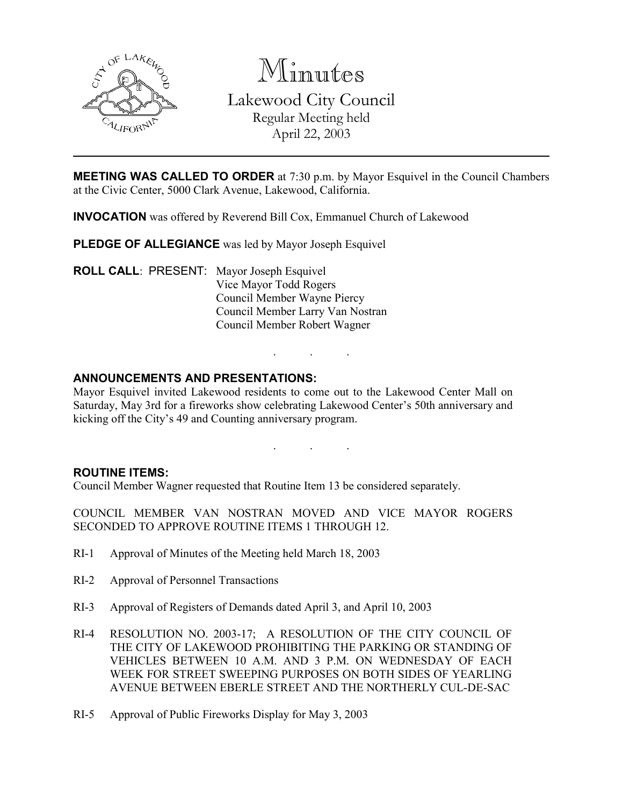

Minutes Lakewood City Council Regular Meeting held April 22, 2003

MEETING WAS CALLED TO ORDER at 7:30 p.m. by Mayor Esquivel in the Council Chambers at the Civic Center, 5000 Clark Avenue, Lakewood, California.

INVOCATION was offered by Reverend Bill Cox, Emmanuel Church of Lakewood

PLEDGE OF ALLEGIANCE was led by Mayor Joseph Esquivel

ROLL CALL: PRESENT: Mayor Joseph Esquivel Vice Mayor Todd Rogers Council Member Wayne Piercy Council Member Larry Van Nostran Council Member Robert Wagner

# ANNOUNCEMENTS AND PRESENTATIONS:

Mayor Esquivel invited Lakewood residents to come out to the Lakewood Center Mall on Saturday, May 3rd for a fireworks show celebrating Lakewood Center's 50th anniversary and kicking off the City's 49 and Counting anniversary program.

. . .

. . .

## ROUTINE ITEMS:

Council Member Wagner requested that Routine Item 13 be considered separately.

COUNCIL MEMBER VAN NOSTRAN MOVED AND VICE MAYOR ROGERS SECONDED TO APPROVE ROUTINE ITEMS 1 THROUGH 12.

- RI-1 Approval of Minutes of the Meeting held March 18, 2003
- RI-2 Approval of Personnel Transactions
- RI-3 Approval of Registers of Demands dated April 3, and April 10, 2003
- RI-4 RESOLUTION NO. 2003-17; A RESOLUTION OF THE CITY COUNCIL OF THE CITY OF LAKEWOOD PROHIBITING THE PARKING OR STANDING OF VEHICLES BETWEEN 10 A.M. AND 3 P.M. ON WEDNESDAY OF EACH WEEK FOR STREET SWEEPING PURPOSES ON BOTH SIDES OF YEARLING AVENUE BETWEEN EBERLE STREET AND THE NORTHERLY CUL-DE-SAC
- RI-5 Approval of Public Fireworks Display for May 3, 2003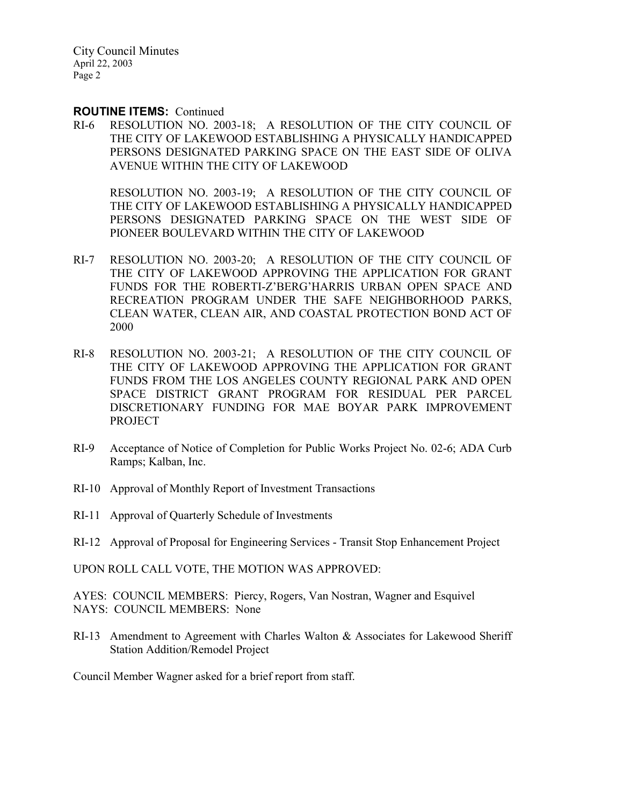#### ROUTINE ITEMS: Continued

RI-6 RESOLUTION NO. 2003-18; A RESOLUTION OF THE CITY COUNCIL OF THE CITY OF LAKEWOOD ESTABLISHING A PHYSICALLY HANDICAPPED PERSONS DESIGNATED PARKING SPACE ON THE EAST SIDE OF OLIVA AVENUE WITHIN THE CITY OF LAKEWOOD

RESOLUTION NO. 2003-19; A RESOLUTION OF THE CITY COUNCIL OF THE CITY OF LAKEWOOD ESTABLISHING A PHYSICALLY HANDICAPPED PERSONS DESIGNATED PARKING SPACE ON THE WEST SIDE OF PIONEER BOULEVARD WITHIN THE CITY OF LAKEWOOD

- RI-7 RESOLUTION NO. 2003-20; A RESOLUTION OF THE CITY COUNCIL OF THE CITY OF LAKEWOOD APPROVING THE APPLICATION FOR GRANT FUNDS FOR THE ROBERTI-Z'BERG'HARRIS URBAN OPEN SPACE AND RECREATION PROGRAM UNDER THE SAFE NEIGHBORHOOD PARKS, CLEAN WATER, CLEAN AIR, AND COASTAL PROTECTION BOND ACT OF 2000
- RI-8 RESOLUTION NO. 2003-21; A RESOLUTION OF THE CITY COUNCIL OF THE CITY OF LAKEWOOD APPROVING THE APPLICATION FOR GRANT FUNDS FROM THE LOS ANGELES COUNTY REGIONAL PARK AND OPEN SPACE DISTRICT GRANT PROGRAM FOR RESIDUAL PER PARCEL DISCRETIONARY FUNDING FOR MAE BOYAR PARK IMPROVEMENT PROJECT
- RI-9 Acceptance of Notice of Completion for Public Works Project No. 02-6; ADA Curb Ramps; Kalban, Inc.
- RI-10 Approval of Monthly Report of Investment Transactions
- RI-11 Approval of Quarterly Schedule of Investments
- RI-12 Approval of Proposal for Engineering Services Transit Stop Enhancement Project

UPON ROLL CALL VOTE, THE MOTION WAS APPROVED:

AYES: COUNCIL MEMBERS: Piercy, Rogers, Van Nostran, Wagner and Esquivel NAYS: COUNCIL MEMBERS: None

RI-13 Amendment to Agreement with Charles Walton & Associates for Lakewood Sheriff Station Addition/Remodel Project

Council Member Wagner asked for a brief report from staff.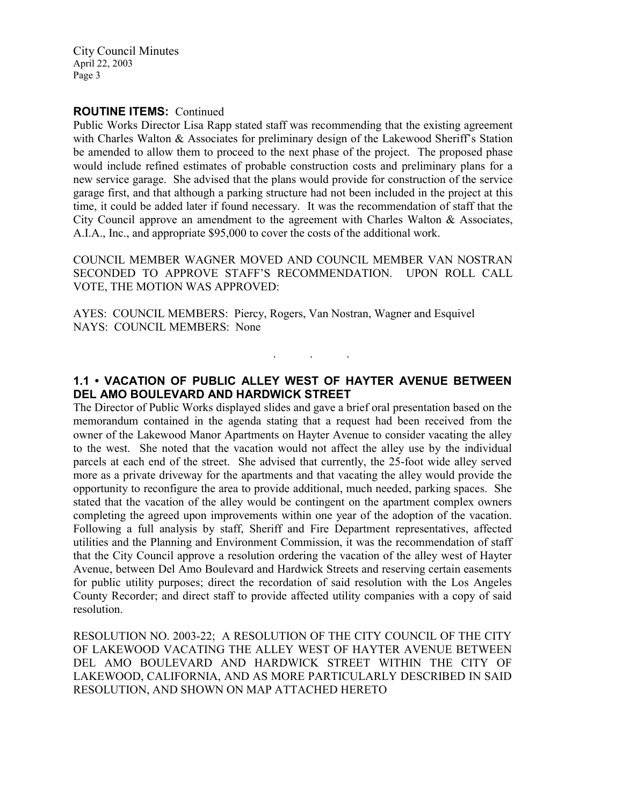### ROUTINE ITEMS: Continued

Public Works Director Lisa Rapp stated staff was recommending that the existing agreement with Charles Walton & Associates for preliminary design of the Lakewood Sheriff's Station be amended to allow them to proceed to the next phase of the project. The proposed phase would include refined estimates of probable construction costs and preliminary plans for a new service garage. She advised that the plans would provide for construction of the service garage first, and that although a parking structure had not been included in the project at this time, it could be added later if found necessary. It was the recommendation of staff that the City Council approve an amendment to the agreement with Charles Walton & Associates, A.I.A., Inc., and appropriate \$95,000 to cover the costs of the additional work.

COUNCIL MEMBER WAGNER MOVED AND COUNCIL MEMBER VAN NOSTRAN SECONDED TO APPROVE STAFF'S RECOMMENDATION. UPON ROLL CALL VOTE, THE MOTION WAS APPROVED:

AYES: COUNCIL MEMBERS: Piercy, Rogers, Van Nostran, Wagner and Esquivel NAYS: COUNCIL MEMBERS: None

# 1.1 • VACATION OF PUBLIC ALLEY WEST OF HAYTER AVENUE BETWEEN DEL AMO BOULEVARD AND HARDWICK STREET

. . .

The Director of Public Works displayed slides and gave a brief oral presentation based on the memorandum contained in the agenda stating that a request had been received from the owner of the Lakewood Manor Apartments on Hayter Avenue to consider vacating the alley to the west. She noted that the vacation would not affect the alley use by the individual parcels at each end of the street. She advised that currently, the 25-foot wide alley served more as a private driveway for the apartments and that vacating the alley would provide the opportunity to reconfigure the area to provide additional, much needed, parking spaces. She stated that the vacation of the alley would be contingent on the apartment complex owners completing the agreed upon improvements within one year of the adoption of the vacation. Following a full analysis by staff, Sheriff and Fire Department representatives, affected utilities and the Planning and Environment Commission, it was the recommendation of staff that the City Council approve a resolution ordering the vacation of the alley west of Hayter Avenue, between Del Amo Boulevard and Hardwick Streets and reserving certain easements for public utility purposes; direct the recordation of said resolution with the Los Angeles County Recorder; and direct staff to provide affected utility companies with a copy of said resolution.

RESOLUTION NO. 2003-22; A RESOLUTION OF THE CITY COUNCIL OF THE CITY OF LAKEWOOD VACATING THE ALLEY WEST OF HAYTER AVENUE BETWEEN DEL AMO BOULEVARD AND HARDWICK STREET WITHIN THE CITY OF LAKEWOOD, CALIFORNIA, AND AS MORE PARTICULARLY DESCRIBED IN SAID RESOLUTION, AND SHOWN ON MAP ATTACHED HERETO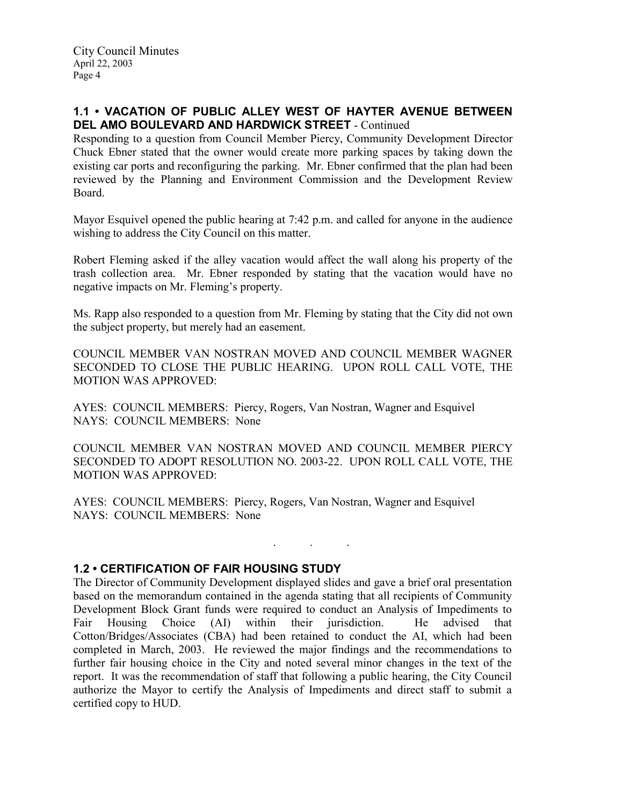# 1.1 • VACATION OF PUBLIC ALLEY WEST OF HAYTER AVENUE BETWEEN DEL AMO BOULEVARD AND HARDWICK STREET - Continued

Responding to a question from Council Member Piercy, Community Development Director Chuck Ebner stated that the owner would create more parking spaces by taking down the existing car ports and reconfiguring the parking. Mr. Ebner confirmed that the plan had been reviewed by the Planning and Environment Commission and the Development Review Board.

Mayor Esquivel opened the public hearing at 7:42 p.m. and called for anyone in the audience wishing to address the City Council on this matter.

Robert Fleming asked if the alley vacation would affect the wall along his property of the trash collection area. Mr. Ebner responded by stating that the vacation would have no negative impacts on Mr. Fleming's property.

Ms. Rapp also responded to a question from Mr. Fleming by stating that the City did not own the subject property, but merely had an easement.

COUNCIL MEMBER VAN NOSTRAN MOVED AND COUNCIL MEMBER WAGNER SECONDED TO CLOSE THE PUBLIC HEARING. UPON ROLL CALL VOTE, THE MOTION WAS APPROVED:

AYES: COUNCIL MEMBERS: Piercy, Rogers, Van Nostran, Wagner and Esquivel NAYS: COUNCIL MEMBERS: None

COUNCIL MEMBER VAN NOSTRAN MOVED AND COUNCIL MEMBER PIERCY SECONDED TO ADOPT RESOLUTION NO. 2003-22. UPON ROLL CALL VOTE, THE MOTION WAS APPROVED:

. . .

AYES: COUNCIL MEMBERS: Piercy, Rogers, Van Nostran, Wagner and Esquivel NAYS: COUNCIL MEMBERS: None

## 1.2 • CERTIFICATION OF FAIR HOUSING STUDY

The Director of Community Development displayed slides and gave a brief oral presentation based on the memorandum contained in the agenda stating that all recipients of Community Development Block Grant funds were required to conduct an Analysis of Impediments to Fair Housing Choice (AI) within their jurisdiction. He advised that Cotton/Bridges/Associates (CBA) had been retained to conduct the AI, which had been completed in March, 2003. He reviewed the major findings and the recommendations to further fair housing choice in the City and noted several minor changes in the text of the report. It was the recommendation of staff that following a public hearing, the City Council authorize the Mayor to certify the Analysis of Impediments and direct staff to submit a certified copy to HUD.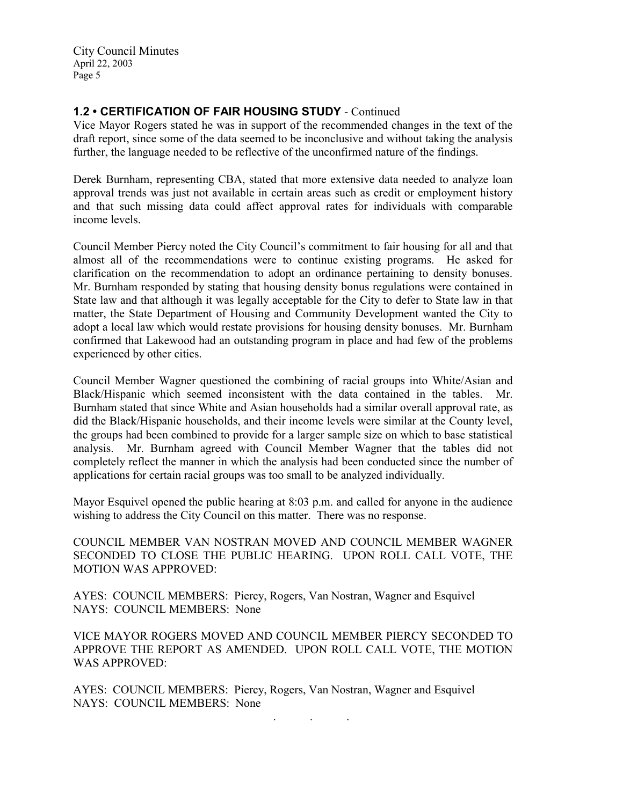# 1.2 • CERTIFICATION OF FAIR HOUSING STUDY - Continued

Vice Mayor Rogers stated he was in support of the recommended changes in the text of the draft report, since some of the data seemed to be inconclusive and without taking the analysis further, the language needed to be reflective of the unconfirmed nature of the findings.

Derek Burnham, representing CBA, stated that more extensive data needed to analyze loan approval trends was just not available in certain areas such as credit or employment history and that such missing data could affect approval rates for individuals with comparable income levels.

Council Member Piercy noted the City Council's commitment to fair housing for all and that almost all of the recommendations were to continue existing programs. He asked for clarification on the recommendation to adopt an ordinance pertaining to density bonuses. Mr. Burnham responded by stating that housing density bonus regulations were contained in State law and that although it was legally acceptable for the City to defer to State law in that matter, the State Department of Housing and Community Development wanted the City to adopt a local law which would restate provisions for housing density bonuses. Mr. Burnham confirmed that Lakewood had an outstanding program in place and had few of the problems experienced by other cities.

Council Member Wagner questioned the combining of racial groups into White/Asian and Black/Hispanic which seemed inconsistent with the data contained in the tables. Mr. Burnham stated that since White and Asian households had a similar overall approval rate, as did the Black/Hispanic households, and their income levels were similar at the County level, the groups had been combined to provide for a larger sample size on which to base statistical analysis. Mr. Burnham agreed with Council Member Wagner that the tables did not completely reflect the manner in which the analysis had been conducted since the number of applications for certain racial groups was too small to be analyzed individually.

Mayor Esquivel opened the public hearing at 8:03 p.m. and called for anyone in the audience wishing to address the City Council on this matter. There was no response.

COUNCIL MEMBER VAN NOSTRAN MOVED AND COUNCIL MEMBER WAGNER SECONDED TO CLOSE THE PUBLIC HEARING. UPON ROLL CALL VOTE, THE MOTION WAS APPROVED:

AYES: COUNCIL MEMBERS: Piercy, Rogers, Van Nostran, Wagner and Esquivel NAYS: COUNCIL MEMBERS: None

VICE MAYOR ROGERS MOVED AND COUNCIL MEMBER PIERCY SECONDED TO APPROVE THE REPORT AS AMENDED. UPON ROLL CALL VOTE, THE MOTION WAS APPROVED:

AYES: COUNCIL MEMBERS: Piercy, Rogers, Van Nostran, Wagner and Esquivel NAYS: COUNCIL MEMBERS: None

. . .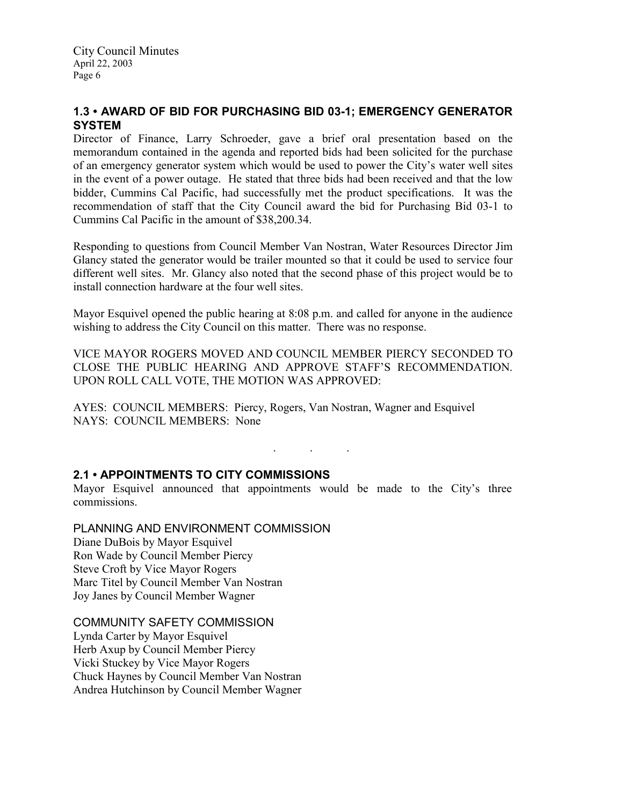# 1.3 • AWARD OF BID FOR PURCHASING BID 03-1; EMERGENCY GENERATOR **SYSTEM**

Director of Finance, Larry Schroeder, gave a brief oral presentation based on the memorandum contained in the agenda and reported bids had been solicited for the purchase of an emergency generator system which would be used to power the City's water well sites in the event of a power outage. He stated that three bids had been received and that the low bidder, Cummins Cal Pacific, had successfully met the product specifications. It was the recommendation of staff that the City Council award the bid for Purchasing Bid 03-1 to Cummins Cal Pacific in the amount of \$38,200.34.

Responding to questions from Council Member Van Nostran, Water Resources Director Jim Glancy stated the generator would be trailer mounted so that it could be used to service four different well sites. Mr. Glancy also noted that the second phase of this project would be to install connection hardware at the four well sites.

Mayor Esquivel opened the public hearing at 8:08 p.m. and called for anyone in the audience wishing to address the City Council on this matter. There was no response.

VICE MAYOR ROGERS MOVED AND COUNCIL MEMBER PIERCY SECONDED TO CLOSE THE PUBLIC HEARING AND APPROVE STAFF'S RECOMMENDATION. UPON ROLL CALL VOTE, THE MOTION WAS APPROVED:

AYES: COUNCIL MEMBERS: Piercy, Rogers, Van Nostran, Wagner and Esquivel NAYS: COUNCIL MEMBERS: None

. . .

## 2.1 • APPOINTMENTS TO CITY COMMISSIONS

Mayor Esquivel announced that appointments would be made to the City's three commissions.

PLANNING AND ENVIRONMENT COMMISSION

Diane DuBois by Mayor Esquivel Ron Wade by Council Member Piercy Steve Croft by Vice Mayor Rogers Marc Titel by Council Member Van Nostran Joy Janes by Council Member Wagner

COMMUNITY SAFETY COMMISSION Lynda Carter by Mayor Esquivel Herb Axup by Council Member Piercy Vicki Stuckey by Vice Mayor Rogers Chuck Haynes by Council Member Van Nostran Andrea Hutchinson by Council Member Wagner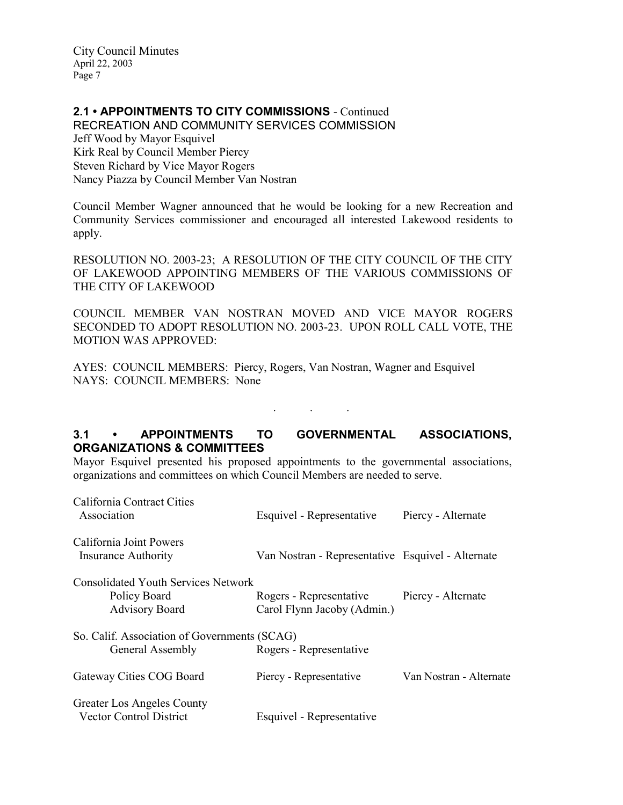# 2.1 • APPOINTMENTS TO CITY COMMISSIONS - Continued

RECREATION AND COMMUNITY SERVICES COMMISSION Jeff Wood by Mayor Esquivel Kirk Real by Council Member Piercy Steven Richard by Vice Mayor Rogers Nancy Piazza by Council Member Van Nostran

Council Member Wagner announced that he would be looking for a new Recreation and Community Services commissioner and encouraged all interested Lakewood residents to apply.

RESOLUTION NO. 2003-23; A RESOLUTION OF THE CITY COUNCIL OF THE CITY OF LAKEWOOD APPOINTING MEMBERS OF THE VARIOUS COMMISSIONS OF THE CITY OF LAKEWOOD

COUNCIL MEMBER VAN NOSTRAN MOVED AND VICE MAYOR ROGERS SECONDED TO ADOPT RESOLUTION NO. 2003-23. UPON ROLL CALL VOTE, THE MOTION WAS APPROVED:

AYES: COUNCIL MEMBERS: Piercy, Rogers, Van Nostran, Wagner and Esquivel NAYS: COUNCIL MEMBERS: None

# 3.1 • APPOINTMENTS TO GOVERNMENTAL ASSOCIATIONS, ORGANIZATIONS & COMMITTEES

. . .

Mayor Esquivel presented his proposed appointments to the governmental associations, organizations and committees on which Council Members are needed to serve.

| California Contract Cities<br>Association                                           | Esquivel - Representative                              | Piercy - Alternate      |
|-------------------------------------------------------------------------------------|--------------------------------------------------------|-------------------------|
| California Joint Powers<br>Insurance Authority                                      | Van Nostran - Representative Esquivel - Alternate      |                         |
| <b>Consolidated Youth Services Network</b><br>Policy Board<br><b>Advisory Board</b> | Rogers - Representative<br>Carol Flynn Jacoby (Admin.) | Piercy - Alternate      |
| So. Calif. Association of Governments (SCAG)<br>General Assembly                    | Rogers - Representative                                |                         |
| Gateway Cities COG Board                                                            | Piercy - Representative                                | Van Nostran - Alternate |
| Greater Los Angeles County<br><b>Vector Control District</b>                        | Esquivel - Representative                              |                         |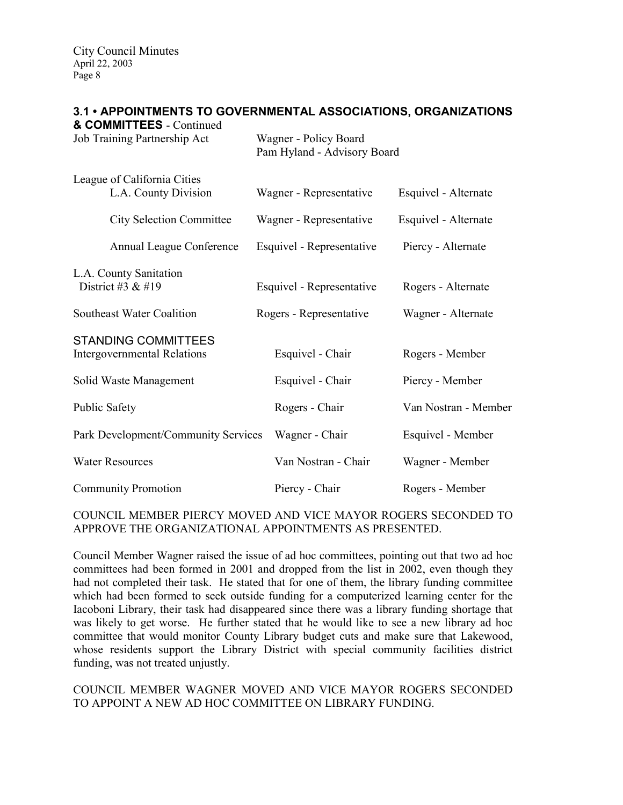# 3.1 • APPOINTMENTS TO GOVERNMENTAL ASSOCIATIONS, ORGANIZATIONS

| & COMMITTEES - Continued<br>Job Training Partnership Act         | Wagner - Policy Board<br>Pam Hyland - Advisory Board |                      |
|------------------------------------------------------------------|------------------------------------------------------|----------------------|
| League of California Cities<br>L.A. County Division              | Wagner - Representative                              | Esquivel - Alternate |
| <b>City Selection Committee</b>                                  | Wagner - Representative                              | Esquivel - Alternate |
| Annual League Conference                                         | Esquivel - Representative                            | Piercy - Alternate   |
| L.A. County Sanitation<br>District #3 $& 419$                    | Esquivel - Representative                            | Rogers - Alternate   |
| <b>Southeast Water Coalition</b>                                 | Rogers - Representative                              | Wagner - Alternate   |
| <b>STANDING COMMITTEES</b><br><b>Intergovernmental Relations</b> | Esquivel - Chair                                     | Rogers - Member      |
| Solid Waste Management                                           | Esquivel - Chair                                     | Piercy - Member      |
| <b>Public Safety</b>                                             | Rogers - Chair                                       | Van Nostran - Member |
| Park Development/Community Services                              | Wagner - Chair                                       | Esquivel - Member    |
| <b>Water Resources</b>                                           | Van Nostran - Chair                                  | Wagner - Member      |
| <b>Community Promotion</b>                                       | Piercy - Chair                                       | Rogers - Member      |

## COUNCIL MEMBER PIERCY MOVED AND VICE MAYOR ROGERS SECONDED TO APPROVE THE ORGANIZATIONAL APPOINTMENTS AS PRESENTED.

Council Member Wagner raised the issue of ad hoc committees, pointing out that two ad hoc committees had been formed in 2001 and dropped from the list in 2002, even though they had not completed their task. He stated that for one of them, the library funding committee which had been formed to seek outside funding for a computerized learning center for the Iacoboni Library, their task had disappeared since there was a library funding shortage that was likely to get worse. He further stated that he would like to see a new library ad hoc committee that would monitor County Library budget cuts and make sure that Lakewood, whose residents support the Library District with special community facilities district funding, was not treated unjustly.

## COUNCIL MEMBER WAGNER MOVED AND VICE MAYOR ROGERS SECONDED TO APPOINT A NEW AD HOC COMMITTEE ON LIBRARY FUNDING.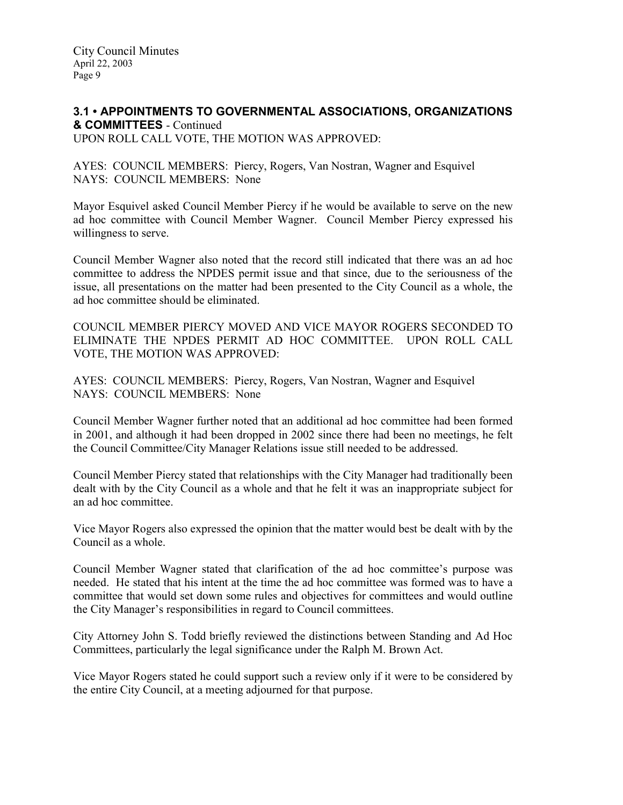### 3.1 • APPOINTMENTS TO GOVERNMENTAL ASSOCIATIONS, ORGANIZATIONS & COMMITTEES - Continued UPON ROLL CALL VOTE, THE MOTION WAS APPROVED:

AYES: COUNCIL MEMBERS: Piercy, Rogers, Van Nostran, Wagner and Esquivel NAYS: COUNCIL MEMBERS: None

Mayor Esquivel asked Council Member Piercy if he would be available to serve on the new ad hoc committee with Council Member Wagner. Council Member Piercy expressed his willingness to serve.

Council Member Wagner also noted that the record still indicated that there was an ad hoc committee to address the NPDES permit issue and that since, due to the seriousness of the issue, all presentations on the matter had been presented to the City Council as a whole, the ad hoc committee should be eliminated.

COUNCIL MEMBER PIERCY MOVED AND VICE MAYOR ROGERS SECONDED TO ELIMINATE THE NPDES PERMIT AD HOC COMMITTEE. UPON ROLL CALL VOTE, THE MOTION WAS APPROVED:

AYES: COUNCIL MEMBERS: Piercy, Rogers, Van Nostran, Wagner and Esquivel NAYS: COUNCIL MEMBERS: None

Council Member Wagner further noted that an additional ad hoc committee had been formed in 2001, and although it had been dropped in 2002 since there had been no meetings, he felt the Council Committee/City Manager Relations issue still needed to be addressed.

Council Member Piercy stated that relationships with the City Manager had traditionally been dealt with by the City Council as a whole and that he felt it was an inappropriate subject for an ad hoc committee.

Vice Mayor Rogers also expressed the opinion that the matter would best be dealt with by the Council as a whole.

Council Member Wagner stated that clarification of the ad hoc committee's purpose was needed. He stated that his intent at the time the ad hoc committee was formed was to have a committee that would set down some rules and objectives for committees and would outline the City Manager's responsibilities in regard to Council committees.

City Attorney John S. Todd briefly reviewed the distinctions between Standing and Ad Hoc Committees, particularly the legal significance under the Ralph M. Brown Act.

Vice Mayor Rogers stated he could support such a review only if it were to be considered by the entire City Council, at a meeting adjourned for that purpose.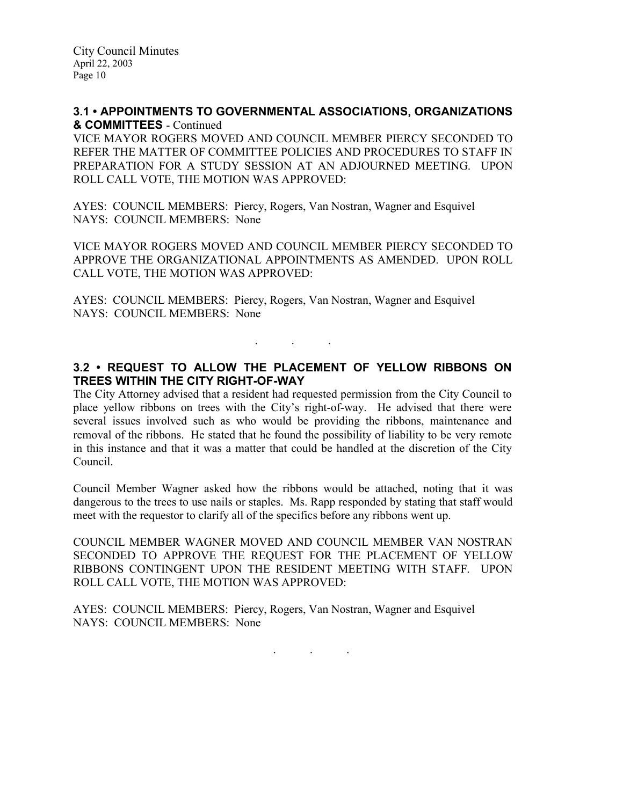### 3.1 • APPOINTMENTS TO GOVERNMENTAL ASSOCIATIONS, ORGANIZATIONS & COMMITTEES - Continued

VICE MAYOR ROGERS MOVED AND COUNCIL MEMBER PIERCY SECONDED TO REFER THE MATTER OF COMMITTEE POLICIES AND PROCEDURES TO STAFF IN PREPARATION FOR A STUDY SESSION AT AN ADJOURNED MEETING. UPON ROLL CALL VOTE, THE MOTION WAS APPROVED:

AYES: COUNCIL MEMBERS: Piercy, Rogers, Van Nostran, Wagner and Esquivel NAYS: COUNCIL MEMBERS: None

VICE MAYOR ROGERS MOVED AND COUNCIL MEMBER PIERCY SECONDED TO APPROVE THE ORGANIZATIONAL APPOINTMENTS AS AMENDED. UPON ROLL CALL VOTE, THE MOTION WAS APPROVED:

AYES: COUNCIL MEMBERS: Piercy, Rogers, Van Nostran, Wagner and Esquivel NAYS: COUNCIL MEMBERS: None

# 3.2 • REQUEST TO ALLOW THE PLACEMENT OF YELLOW RIBBONS ON TREES WITHIN THE CITY RIGHT-OF-WAY

. . .

The City Attorney advised that a resident had requested permission from the City Council to place yellow ribbons on trees with the City's right-of-way. He advised that there were several issues involved such as who would be providing the ribbons, maintenance and removal of the ribbons. He stated that he found the possibility of liability to be very remote in this instance and that it was a matter that could be handled at the discretion of the City Council.

Council Member Wagner asked how the ribbons would be attached, noting that it was dangerous to the trees to use nails or staples. Ms. Rapp responded by stating that staff would meet with the requestor to clarify all of the specifics before any ribbons went up.

COUNCIL MEMBER WAGNER MOVED AND COUNCIL MEMBER VAN NOSTRAN SECONDED TO APPROVE THE REQUEST FOR THE PLACEMENT OF YELLOW RIBBONS CONTINGENT UPON THE RESIDENT MEETING WITH STAFF. UPON ROLL CALL VOTE, THE MOTION WAS APPROVED:

AYES: COUNCIL MEMBERS: Piercy, Rogers, Van Nostran, Wagner and Esquivel NAYS: COUNCIL MEMBERS: None

. . .